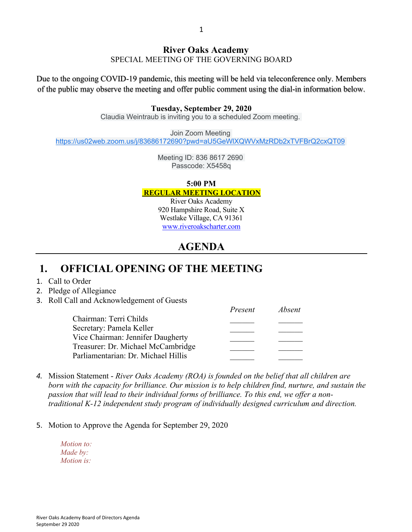### **River Oaks Academy**

SPECIAL MEETING OF THE GOVERNING BOARD

Due to the ongoing COVID-19 pandemic, this meeting will be held via teleconference only. Members of the public may observe the meeting and offer public comment using the dial-in information below.

### **Tuesday, September 29, 2020**

Claudia Weintraub is inviting you to a scheduled Zoom meeting.

Join Zoom Meeting https://us02web.zoom.us/j/83686172690?pwd=aU5GeWlXQWVxMzRDb2xTVFBrQ2cxQT09

> Meeting ID: 836 8617 2690 Passcode: X5458q

> > **5:00 PM**

### **REGULAR MEETING LOCATION**

River Oaks Academy 920 Hampshire Road, Suite X Westlake Village, CA 91361 www.riveroakscharter.com

## **AGENDA**

## **1. OFFICIAL OPENING OF THE MEETING**

- 1. Call to Order
- 2. Pledge of Allegiance
- 3. Roll Call and Acknowledgement of Guests

|                                     | Present | Absent |
|-------------------------------------|---------|--------|
| Chairman: Terri Childs              |         |        |
| Secretary: Pamela Keller            |         |        |
| Vice Chairman: Jennifer Daugherty   |         |        |
| Treasurer: Dr. Michael McCambridge  |         |        |
| Parliamentarian: Dr. Michael Hillis |         |        |
|                                     |         |        |

- *4.* Mission Statement *River Oaks Academy (ROA) is founded on the belief that all children are born with the capacity for brilliance. Our mission is to help children find, nurture, and sustain the passion that will lead to their individual forms of brilliance. To this end, we offer a nontraditional K-12 independent study program of individually designed curriculum and direction.*
- 5. Motion to Approve the Agenda for September 29, 2020

*Motion to: Made by: Motion is:*